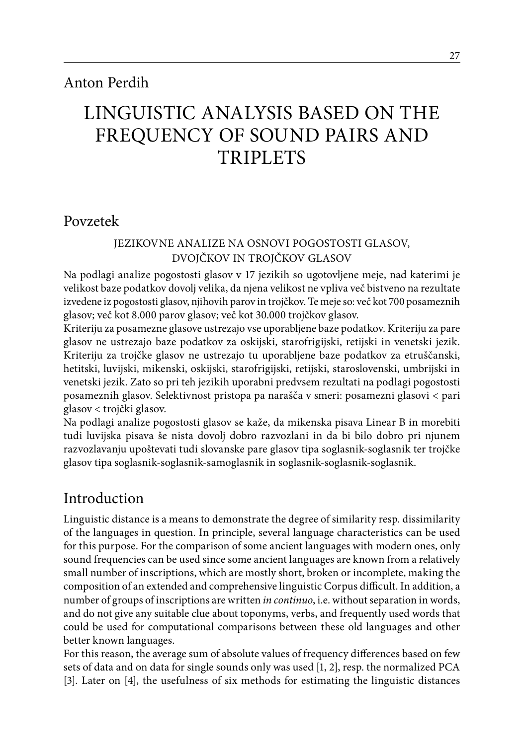# Anton Perdih

# linguistic ANALYSIs BASED ON THE FREQUENCY OF SOUND PAIRS AND TRIPLETS

# Povzetek

### Jezikovne analize na osnovi pogostosti glasov, dvojčkov in trojčkov glasov

Na podlagi analize pogostosti glasov v 17 jezikih so ugotovljene meje, nad katerimi je velikost baze podatkov dovolj velika, da njena velikost ne vpliva več bistveno na rezultate izvedene iz pogostosti glasov, njihovih parov in trojčkov. Te meje so: več kot 700 posameznih glasov; več kot 8.000 parov glasov; več kot 30.000 trojčkov glasov.

Kriteriju za posamezne glasove ustrezajo vse uporabljene baze podatkov. Kriteriju za pare glasov ne ustrezajo baze podatkov za oskijski, starofrigijski, retijski in venetski jezik. Kriteriju za trojčke glasov ne ustrezajo tu uporabljene baze podatkov za etruščanski, hetitski, luvijski, mikenski, oskijski, starofrigijski, retijski, staroslovenski, umbrijski in venetski jezik. Zato so pri teh jezikih uporabni predvsem rezultati na podlagi pogostosti posameznih glasov. Selektivnost pristopa pa narašča v smeri: posamezni glasovi < pari glasov < trojčki glasov.

Na podlagi analize pogostosti glasov se kaže, da mikenska pisava Linear B in morebiti tudi luvijska pisava še nista dovolj dobro razvozlani in da bi bilo dobro pri njunem razvozlavanju upoštevati tudi slovanske pare glasov tipa soglasnik-soglasnik ter trojčke glasov tipa soglasnik-soglasnik-samoglasnik in soglasnik-soglasnik-soglasnik.

# Introduction

Linguistic distance is a means to demonstrate the degree of similarity resp. dissimilarity of the languages in question. In principle, several language characteristics can be used for this purpose. For the comparison of some ancient languages with modern ones, only sound frequencies can be used since some ancient languages are known from a relatively small number of inscriptions, which are mostly short, broken or incomplete, making the composition of an extended and comprehensive linguistic Corpus difficult. In addition, a number of groups of inscriptions are written *in continuo*, i.e. without separation in words, and do not give any suitable clue about toponyms, verbs, and frequently used words that could be used for computational comparisons between these old languages and other better known languages.

For this reason, the average sum of absolute values of frequency differences based on few sets of data and on data for single sounds only was used [1, 2], resp. the normalized PCA [3]. Later on [4], the usefulness of six methods for estimating the linguistic distances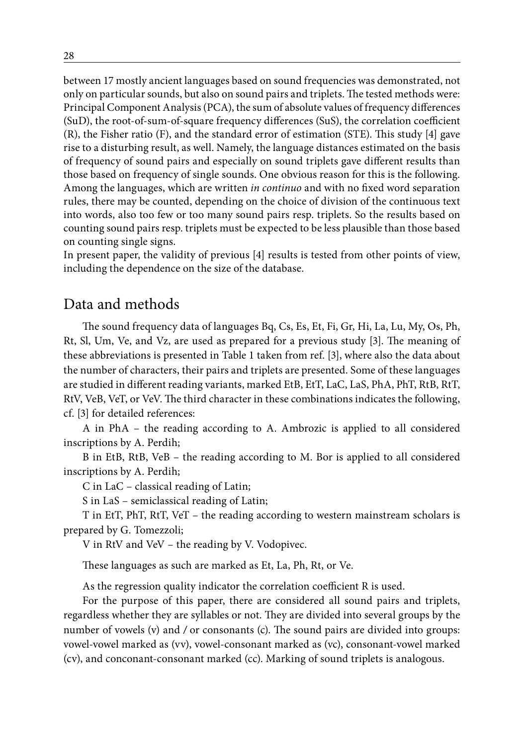between 17 mostly ancient languages based on sound frequencies was demonstrated, not only on particular sounds, but also on sound pairs and triplets. The tested methods were: Principal Component Analysis (PCA), the sum of absolute values of frequency differences (SuD), the root-of-sum-of-square frequency differences (SuS), the correlation coefficient (R), the Fisher ratio (F), and the standard error of estimation (STE). This study [4] gave rise to a disturbing result, as well. Namely, the language distances estimated on the basis of frequency of sound pairs and especially on sound triplets gave different results than those based on frequency of single sounds. One obvious reason for this is the following. Among the languages, which are written *in continuo* and with no fixed word separation rules, there may be counted, depending on the choice of division of the continuous text into words, also too few or too many sound pairs resp. triplets. So the results based on counting sound pairs resp. triplets must be expected to be less plausible than those based on counting single signs.

In present paper, the validity of previous [4] results is tested from other points of view, including the dependence on the size of the database.

# Data and methods

The sound frequency data of languages Bq, Cs, Es, Et, Fi, Gr, Hi, La, Lu, My, Os, Ph, Rt, Sl, Um, Ve, and Vz, are used as prepared for a previous study [3]. The meaning of these abbreviations is presented in Table 1 taken from ref. [3], where also the data about the number of characters, their pairs and triplets are presented. Some of these languages are studied in different reading variants, marked EtB, EtT, LaC, LaS, PhA, PhT, RtB, RtT, RtV, VeB, VeT, or VeV. The third character in these combinations indicates the following, cf. [3] for detailed references:

A in PhA – the reading according to A. Ambrozic is applied to all considered inscriptions by A. Perdih;

B in EtB, RtB, VeB – the reading according to M. Bor is applied to all considered inscriptions by A. Perdih;

C in LaC – classical reading of Latin;

S in LaS – semiclassical reading of Latin;

T in EtT, PhT, RtT, VeT – the reading according to western mainstream scholars is prepared by G. Tomezzoli;

V in RtV and VeV – the reading by V. Vodopivec.

These languages as such are marked as Et, La, Ph, Rt, or Ve.

As the regression quality indicator the correlation coefficient R is used.

For the purpose of this paper, there are considered all sound pairs and triplets, regardless whether they are syllables or not. They are divided into several groups by the number of vowels (v) and */* or consonants (c). The sound pairs are divided into groups: vowel-vowel marked as (vv), vowel-consonant marked as (vc), consonant-vowel marked (cv), and conconant-consonant marked (cc). Marking of sound triplets is analogous.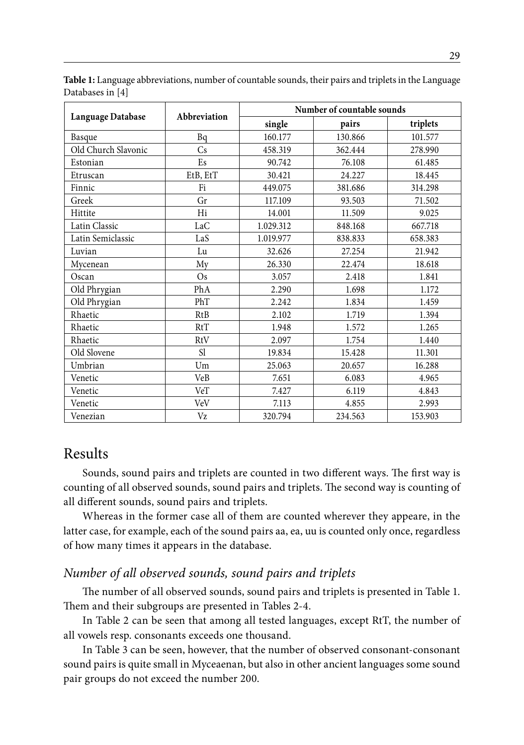|                     |                 | Number of countable sounds |         |          |  |  |  |
|---------------------|-----------------|----------------------------|---------|----------|--|--|--|
| Language Database   | Abbreviation    | single                     | pairs   | triplets |  |  |  |
| Basque              | Bq              | 160.177                    | 130.866 | 101.577  |  |  |  |
| Old Church Slavonic | Cs              | 458.319                    | 362.444 | 278.990  |  |  |  |
| Estonian            | Es              | 90.742                     | 76.108  | 61.485   |  |  |  |
| Etruscan            | EtB, EtT        | 30.421                     | 24.227  | 18.445   |  |  |  |
| Finnic              | Fi              | 449.075                    | 381.686 | 314.298  |  |  |  |
| Greek               | Gr              | 117.109                    | 93.503  | 71.502   |  |  |  |
| Hittite             | Hi              | 14.001                     | 11.509  | 9.025    |  |  |  |
| Latin Classic       | LaC             | 1.029.312                  | 848.168 | 667.718  |  |  |  |
| Latin Semiclassic   | LaS             | 1.019.977                  | 838.833 | 658.383  |  |  |  |
| Luvian              | Lu              | 32.626                     | 27.254  | 21.942   |  |  |  |
| Mycenean            | My              | 26.330                     | 22.474  | 18.618   |  |  |  |
| Oscan               | $\overline{Os}$ | 3.057                      | 2.418   | 1.841    |  |  |  |
| Old Phrygian        | PhA             | 2.290                      | 1.698   | 1.172    |  |  |  |
| Old Phrygian        | PhT             | 2.242                      | 1.834   | 1.459    |  |  |  |
| Rhaetic             | RtB             | 2.102                      | 1.719   | 1.394    |  |  |  |
| Rhaetic             | RtT             | 1.948                      | 1.572   | 1.265    |  |  |  |
| Rhaetic             | RtV             | 2.097                      | 1.754   | 1.440    |  |  |  |
| Old Slovene         | <sub>S1</sub>   | 19.834                     | 15.428  | 11.301   |  |  |  |
| Umbrian             | Um              | 25.063                     | 20.657  | 16.288   |  |  |  |
| Venetic             | VeB             | 7.651                      | 6.083   | 4.965    |  |  |  |
| Venetic             | VeT             | 7.427                      | 6.119   | 4.843    |  |  |  |
| Venetic             | VeV             | 7.113                      | 4.855   | 2.993    |  |  |  |
| Venezian            | Vz              | 320.794                    | 234.563 | 153.903  |  |  |  |

**Table 1:** Language abbreviations, number of countable sounds, their pairs and triplets in the Language Databases in [4]

# Results

Sounds, sound pairs and triplets are counted in two different ways. The first way is counting of all observed sounds, sound pairs and triplets. The second way is counting of all different sounds, sound pairs and triplets.

Whereas in the former case all of them are counted wherever they appeare, in the latter case, for example, each of the sound pairs aa, ea, uu is counted only once, regardless of how many times it appears in the database.

### *Number of all observed sounds, sound pairs and triplets*

The number of all observed sounds, sound pairs and triplets is presented in Table 1. Them and their subgroups are presented in Tables 2-4.

In Table 2 can be seen that among all tested languages, except RtT, the number of all vowels resp. consonants exceeds one thousand.

In Table 3 can be seen, however, that the number of observed consonant-consonant sound pairs is quite small in Myceaenan, but also in other ancient languages some sound pair groups do not exceed the number 200.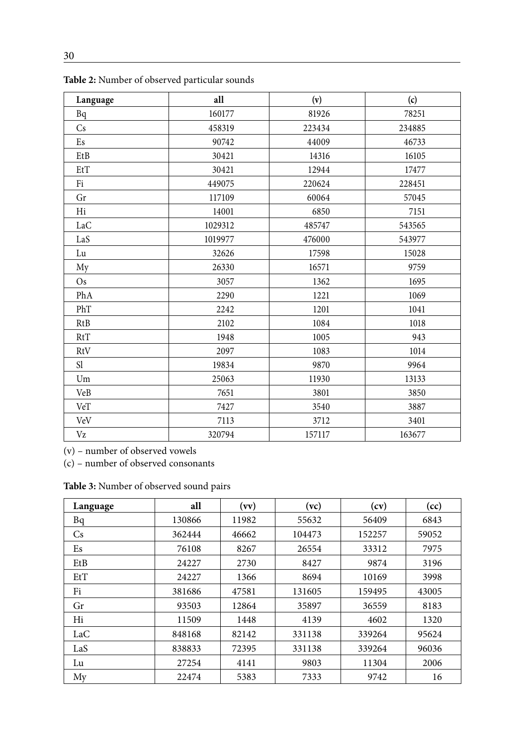| Language      | all     | (v)    | (c)    |
|---------------|---------|--------|--------|
| Bq            | 160177  | 81926  | 78251  |
| Cs            | 458319  | 223434 | 234885 |
| Es            | 90742   | 44009  | 46733  |
| EtB           | 30421   | 14316  | 16105  |
| EtT           | 30421   | 12944  | 17477  |
| Fi            | 449075  | 220624 | 228451 |
| Gr            | 117109  | 60064  | 57045  |
| Hi            | 14001   | 6850   | 7151   |
| LaC           | 1029312 | 485747 | 543565 |
| LaS           | 1019977 | 476000 | 543977 |
| Lu            | 32626   | 17598  | 15028  |
| My            | 26330   | 16571  | 9759   |
| Os            | 3057    | 1362   | 1695   |
| PhA           | 2290    | 1221   | 1069   |
| PhT           | 2242    | 1201   | 1041   |
| RtB           | 2102    | 1084   | 1018   |
| RtT           | 1948    | 1005   | 943    |
| RtV           | 2097    | 1083   | 1014   |
| <sub>S1</sub> | 19834   | 9870   | 9964   |
| Um            | 25063   | 11930  | 13133  |
| VeB           | 7651    | 3801   | 3850   |
| VeT           | 7427    | 3540   | 3887   |
| VeV           | 7113    | 3712   | 3401   |
| Vz            | 320794  | 157117 | 163677 |

**Table 2:** Number of observed particular sounds

(v) – number of observed vowels

(c) – number of observed consonants

**Table 3:** Number of observed sound pairs

| Language  | all    | (vv)  | (vc)   | (cv)   | (cc)  |
|-----------|--------|-------|--------|--------|-------|
| Bq        | 130866 | 11982 | 55632  | 56409  | 6843  |
| <b>Cs</b> | 362444 | 46662 | 104473 | 152257 | 59052 |
| Es        | 76108  | 8267  | 26554  | 33312  | 7975  |
| EtB       | 24227  | 2730  | 8427   | 9874   | 3196  |
| $E$ t $T$ | 24227  | 1366  | 8694   | 10169  | 3998  |
| Fi        | 381686 | 47581 | 131605 | 159495 | 43005 |
| Gr        | 93503  | 12864 | 35897  | 36559  | 8183  |
| Hi        | 11509  | 1448  | 4139   | 4602   | 1320  |
| LaC       | 848168 | 82142 | 331138 | 339264 | 95624 |
| LaS       | 838833 | 72395 | 331138 | 339264 | 96036 |
| Lu        | 27254  | 4141  | 9803   | 11304  | 2006  |
| My        | 22474  | 5383  | 7333   | 9742   | 16    |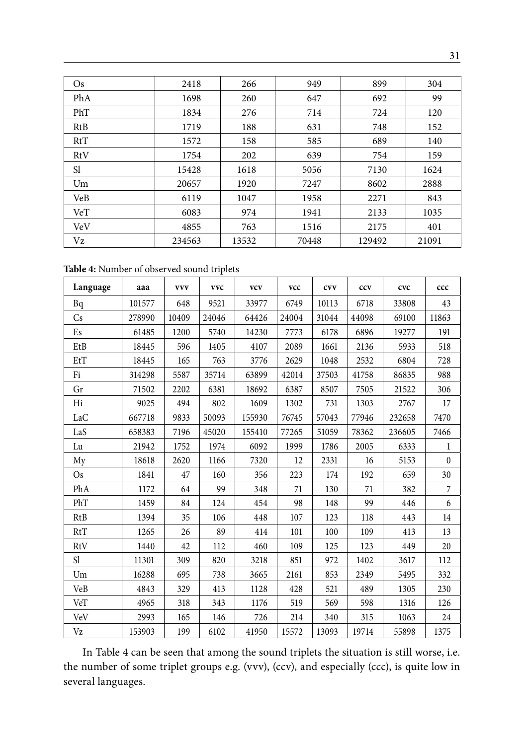| $\rm Os$      | 2418   | 266   | 949   | 899    | 304   |
|---------------|--------|-------|-------|--------|-------|
| PhA           | 1698   | 260   | 647   | 692    | 99    |
| PhT           | 1834   | 276   | 714   | 724    | 120   |
| RtB           | 1719   | 188   | 631   | 748    | 152   |
| RtT           | 1572   | 158   | 585   | 689    | 140   |
| RtV           | 1754   | 202   | 639   | 754    | 159   |
| <sub>S1</sub> | 15428  | 1618  | 5056  | 7130   | 1624  |
| Um            | 20657  | 1920  | 7247  | 8602   | 2888  |
| VeB           | 6119   | 1047  | 1958  | 2271   | 843   |
| VeT           | 6083   | 974   | 1941  | 2133   | 1035  |
| VeV           | 4855   | 763   | 1516  | 2175   | 401   |
| Vz            | 234563 | 13532 | 70448 | 129492 | 21091 |

**Table 4:** Number of observed sound triplets

| Language        | aaa    | <b>VVV</b> | <b>VVC</b> | <b>VCV</b> | vcc   | <b>CVV</b> | ccv   | cvc    | ccc          |
|-----------------|--------|------------|------------|------------|-------|------------|-------|--------|--------------|
| Bq              | 101577 | 648        | 9521       | 33977      | 6749  | 10113      | 6718  | 33808  | 43           |
| Cs              | 278990 | 10409      | 24046      | 64426      | 24004 | 31044      | 44098 | 69100  | 11863        |
| Es              | 61485  | 1200       | 5740       | 14230      | 7773  | 6178       | 6896  | 19277  | 191          |
| EtB             | 18445  | 596        | 1405       | 4107       | 2089  | 1661       | 2136  | 5933   | 518          |
| EtT             | 18445  | 165        | 763        | 3776       | 2629  | 1048       | 2532  | 6804   | 728          |
| Fi              | 314298 | 5587       | 35714      | 63899      | 42014 | 37503      | 41758 | 86835  | 988          |
| Gr              | 71502  | 2202       | 6381       | 18692      | 6387  | 8507       | 7505  | 21522  | 306          |
| Hi              | 9025   | 494        | 802        | 1609       | 1302  | 731        | 1303  | 2767   | 17           |
| LaC             | 667718 | 9833       | 50093      | 155930     | 76745 | 57043      | 77946 | 232658 | 7470         |
| LaS             | 658383 | 7196       | 45020      | 155410     | 77265 | 51059      | 78362 | 236605 | 7466         |
| Lu              | 21942  | 1752       | 1974       | 6092       | 1999  | 1786       | 2005  | 6333   | 1            |
| My              | 18618  | 2620       | 1166       | 7320       | 12    | 2331       | 16    | 5153   | $\mathbf{0}$ |
| $\overline{Os}$ | 1841   | 47         | 160        | 356        | 223   | 174        | 192   | 659    | 30           |
| PhA             | 1172   | 64         | 99         | 348        | 71    | 130        | 71    | 382    | 7            |
| PhT             | 1459   | 84         | 124        | 454        | 98    | 148        | 99    | 446    | 6            |
| <b>RtB</b>      | 1394   | 35         | 106        | 448        | 107   | 123        | 118   | 443    | 14           |
| <b>RtT</b>      | 1265   | 26         | 89         | 414        | 101   | 100        | 109   | 413    | 13           |
| RtV             | 1440   | 42         | 112        | 460        | 109   | 125        | 123   | 449    | 20           |
| S1              | 11301  | 309        | 820        | 3218       | 851   | 972        | 1402  | 3617   | 112          |
| Um              | 16288  | 695        | 738        | 3665       | 2161  | 853        | 2349  | 5495   | 332          |
| VeB             | 4843   | 329        | 413        | 1128       | 428   | 521        | 489   | 1305   | 230          |
| VeT             | 4965   | 318        | 343        | 1176       | 519   | 569        | 598   | 1316   | 126          |
| VeV             | 2993   | 165        | 146        | 726        | 214   | 340        | 315   | 1063   | 24           |
| Vz              | 153903 | 199        | 6102       | 41950      | 15572 | 13093      | 19714 | 55898  | 1375         |

In Table 4 can be seen that among the sound triplets the situation is still worse, i.e. the number of some triplet groups e.g. (vvv), (ccv), and especially (ccc), is quite low in several languages.

31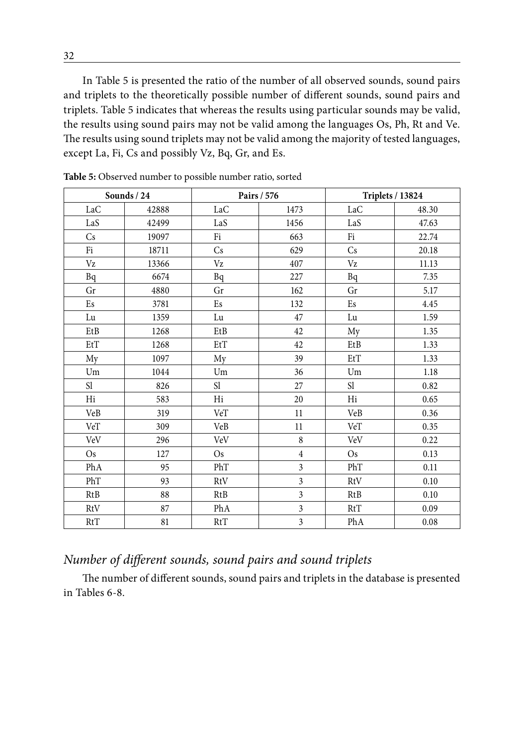In Table 5 is presented the ratio of the number of all observed sounds, sound pairs and triplets to the theoretically possible number of different sounds, sound pairs and triplets. Table 5 indicates that whereas the results using particular sounds may be valid, the results using sound pairs may not be valid among the languages Os, Ph, Rt and Ve. The results using sound triplets may not be valid among the majority of tested languages, except La, Fi, Cs and possibly Vz, Bq, Gr, and Es.

|                           | Sounds / 24 |                           | Pairs / 576             |                            | <b>Triplets / 13824</b> |  |  |
|---------------------------|-------------|---------------------------|-------------------------|----------------------------|-------------------------|--|--|
| LaC                       | 42888       | LaC                       | 1473                    | LaC                        | 48.30                   |  |  |
| LaS                       | 42499       | LaS                       | 1456                    | LaS                        | 47.63                   |  |  |
| Cs                        | 19097       | Fi                        | 663                     | Fi                         | 22.74                   |  |  |
| Fi                        | 18711       | Cs                        | 629                     | Cs                         | 20.18                   |  |  |
| $\rm Vz$                  | 13366       | Vz                        | 407                     | $\rm Vz$                   | 11.13                   |  |  |
| Bq                        | 6674        | Bq                        | 227                     | Bq                         | 7.35                    |  |  |
| Gr                        | 4880        | Gr                        | 162                     | Gr                         | 5.17                    |  |  |
| $\mathop{\hbox{\rm E}} s$ | 3781        | $\mathop{\hbox{\rm E}} s$ | 132                     | Es                         | 4.45                    |  |  |
| Lu                        | 1359        | Lu                        | 47                      | Lu                         | 1.59                    |  |  |
| EtB                       | 1268        | EtB                       | 42                      | My                         | 1.35                    |  |  |
| EtT                       | 1268        | EtT                       | 42                      | $\rm EtB$                  | 1.33                    |  |  |
| My                        | 1097        | My                        | 39                      | EtT                        | 1.33                    |  |  |
| Um                        | 1044        | Um                        | 36                      | Um                         | 1.18                    |  |  |
| Sl                        | 826         | Sl                        | 27                      | $\mathop{\rm Sl}\nolimits$ | 0.82                    |  |  |
| Hi                        | 583         | Hi                        | 20                      | Hi                         | 0.65                    |  |  |
| VeB                       | 319         | VeT                       | $11\,$                  | <b>VeB</b>                 | 0.36                    |  |  |
| VeT                       | 309         | VeB                       | 11                      | VeT                        | 0.35                    |  |  |
| VeV                       | 296         | VeV                       | $\,8\,$                 | VeV                        | 0.22                    |  |  |
| Os                        | 127         | <b>Os</b>                 | $\overline{4}$          | Os                         | 0.13                    |  |  |
| PhA                       | 95          | PhT                       | $\overline{3}$          | PhT                        | 0.11                    |  |  |
| PhT                       | 93          | RtV                       | 3                       | RtV                        | 0.10                    |  |  |
| RtB                       | 88          | RtB                       | $\overline{3}$          | RtB                        | 0.10                    |  |  |
| RtV                       | 87          | PhA                       | $\overline{\mathbf{3}}$ | RtT                        | $0.09\,$                |  |  |
| RtT                       | 81          | RtT                       | 3                       | PhA                        | 0.08                    |  |  |

**Table 5:** Observed number to possible number ratio, sorted

# *Number of different sounds, sound pairs and sound triplets*

The number of different sounds, sound pairs and triplets in the database is presented in Tables 6-8.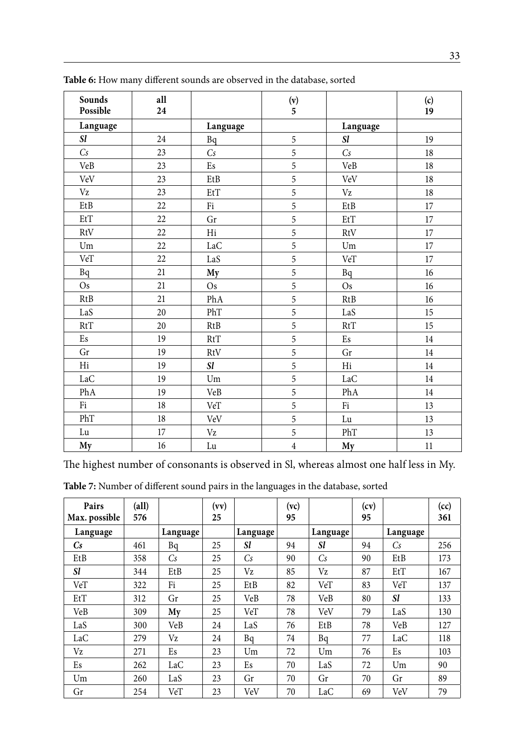| Sounds<br>Possible                  | all<br>24 |                           | $\begin{array}{c} (v) \\ 5 \end{array}$ |                           | (c)<br>19 |
|-------------------------------------|-----------|---------------------------|-----------------------------------------|---------------------------|-----------|
| Language                            |           | Language                  |                                         | Language                  |           |
| Sl                                  | 24        | Bq                        | 5                                       | <b>Sl</b>                 | 19        |
| Cs                                  | 23        | Cs                        | 5                                       | Cs                        | 18        |
| VeB                                 | 23        | $\mathop{\hbox{\rm E}} s$ | 5                                       | VeB                       | 18        |
| VeV                                 | 23        | EtB                       | 5                                       | VeV                       | 18        |
| Vz                                  | 23        | $E$ t $T$                 | 5                                       | Vz                        | 18        |
| $\rm EtB$                           | 22        | Fi                        | 5                                       | $\rm EtB$                 | 17        |
| $\mathop{\hbox{\rm Et}}\nolimits T$ | 22        | Gr                        | 5                                       | EtT                       | 17        |
| RtV                                 | 22        | Hi                        | 5                                       | RtV                       | 17        |
| Um                                  | 22        | LaC                       | 5                                       | Um                        | 17        |
| VeT                                 | 22        | LaS                       | 5                                       | $\ensuremath{\text{VeT}}$ | 17        |
| Bq                                  | 21        | My                        | 5                                       | Bq                        | $16\,$    |
| <b>Os</b>                           | 21        | Os                        | 5                                       | Os                        | 16        |
| RtB                                 | 21        | PhA                       | $\overline{5}$                          | <b>RtB</b>                | 16        |
| $\rm LaS$                           | 20        | PhT                       | 5                                       | LaS                       | 15        |
| RtT                                 | $20\,$    | RtB                       | 5                                       | RtT                       | 15        |
| Es                                  | 19        | RtT                       | 5                                       | Es                        | 14        |
| Gr                                  | 19        | RtV                       | 5                                       | Gr                        | 14        |
| Hi                                  | 19        | Sl                        | 5                                       | Hi                        | 14        |
| LaC                                 | $19\,$    | $\mathop{\rm Um}$         | 5                                       | LaC                       | 14        |
| PhA                                 | 19        | VeB                       | 5                                       | PhA                       | 14        |
| Fi                                  | 18        | VeT                       | 5                                       | Fi                        | 13        |
| PhT                                 | 18        | VeV                       | 5                                       | Lu                        | 13        |
| ${\rm Lu}$                          | $17\,$    | $\rm Vz$                  | 5                                       | PhT                       | 13        |
| My                                  | $16\,$    | ${\rm Lu}$                | $\overline{4}$                          | My                        | 11        |

**Table 6:** How many different sounds are observed in the database, sorted

The highest number of consonants is observed in Sl, whereas almost one half less in My.

| Table 7: Number of different sound pairs in the languages in the database, sorted |  |  |  |
|-----------------------------------------------------------------------------------|--|--|--|
|-----------------------------------------------------------------------------------|--|--|--|

| Pairs<br>Max. possible | $\textbf{(all)}$<br>576 |          | (vv)<br>25 |           | (vc)<br>95 |          | (cv)<br>95 |           | (cc)<br>361 |
|------------------------|-------------------------|----------|------------|-----------|------------|----------|------------|-----------|-------------|
| Language               |                         | Language |            | Language  |            | Language |            | Language  |             |
| $\mathbb{C}$ s         | 461                     | Bq       | 25         | <b>Sl</b> | 94         | Sl       | 94         | Cs        | 256         |
| EtB                    | 358                     | Cs       | 25         | Cs        | 90         | Cs       | 90         | EtB       | 173         |
| <b>Sl</b>              | 344                     | EtB      | 25         | Vz        | 85         | Vz       | 87         | EtT       | 167         |
| VeT                    | 322                     | Fi       | 25         | EtB       | 82         | VeT      | 83         | VeT       | 137         |
| EtT                    | 312                     | Gr       | 25         | VeB       | 78         | VeB      | 80         | <i>Sl</i> | 133         |
| VeB                    | 309                     | My       | 25         | VeT       | 78         | VeV      | 79         | LaS       | 130         |
| LaS                    | 300                     | VeB      | 24         | LaS       | 76         | EtB      | 78         | VeB       | 127         |
| LaC                    | 279                     | Vz       | 24         | Bq        | 74         | Bq       | 77         | LaC       | 118         |
| Vz                     | 271                     | Es       | 23         | Um        | 72         | Um       | 76         | Es        | 103         |
| Es                     | 262                     | LaC      | 23         | Es        | 70         | LaS      | 72         | Um        | 90          |
| Um                     | 260                     | LaS      | 23         | Gr        | 70         | Gr       | 70         | Gr        | 89          |
| Gr                     | 254                     | VeT      | 23         | VeV       | 70         | LaC      | 69         | VeV       | 79          |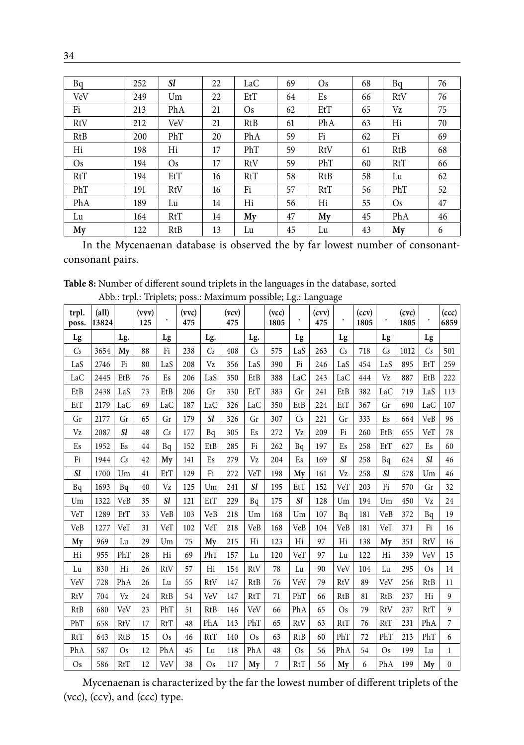| Bq  | 252 | <i>Sl</i> | 22 | LaC | 69 | Os  | 68 | Bq  | 76 |
|-----|-----|-----------|----|-----|----|-----|----|-----|----|
| VeV | 249 | Um        | 22 | EtT | 64 | Es  | 66 | RtV | 76 |
| Fi  | 213 | PhA       | 21 | Os  | 62 | EtT | 65 | Vz  | 75 |
| RtV | 212 | VeV       | 21 | RtB | 61 | PhA | 63 | Hi  | 70 |
| RtB | 200 | PhT       | 20 | PhA | 59 | Fi  | 62 | Fi  | 69 |
| Hi  | 198 | Hi        | 17 | PhT | 59 | RtV | 61 | RtB | 68 |
| Os. | 194 | Os.       | 17 | RtV | 59 | PhT | 60 | RtT | 66 |
| RtT | 194 | EtT       | 16 | RtT | 58 | RtB | 58 | Lu  | 62 |
| PhT | 191 | RtV       | 16 | Fi  | 57 | RtT | 56 | PhT | 52 |
| PhA | 189 | Lu        | 14 | Hi  | 56 | Hi  | 55 | Os. | 47 |
| Lu  | 164 | RtT       | 14 | My  | 47 | My  | 45 | PhA | 46 |
| My  | 122 | RtB       | 13 | Lu  | 45 | Lu  | 43 | My  | 6  |

In the Mycenaenan database is observed the by far lowest number of consonantconsonant pairs.

**Table 8:** Number of different sound triplets in the languages in the database, sorted Abb.: trpl.: Triplets; poss.: Maximum possible; Lg.: Language

| trpl.<br>poss. | (all)<br>13824 |            | (vvv)<br>125 |            | (vvc)<br>475 |            | (vcv)<br>475 |            | (vcc)<br>1805 |            | (cvv)<br>475 |            | (ccv)<br>1805 |                | (cvc)<br>1805 |            | (ccc)<br>6859 |
|----------------|----------------|------------|--------------|------------|--------------|------------|--------------|------------|---------------|------------|--------------|------------|---------------|----------------|---------------|------------|---------------|
| Lg             |                | Lg.        |              | Lg         |              | Lg.        |              | Lg.        |               | Lg         |              | Lg         |               | Lg             |               | Lg         |               |
| Сs             | 3654           | My         | 88           | Fi         | 238          | Cs         | 408          | Cs         | 575           | LaS        | 263          | Сs         | 718           | C <sub>S</sub> | 1012          | Cs         | 501           |
| LaS            | 2746           | Fi         | 80           | LaS        | 208          | Vz         | 356          | LaS        | 390           | Fi         | 246          | LaS        | 454           | LaS            | 895           | EtT        | 259           |
| LaC            | 2445           | EtB        | 76           | Es         | 206          | LaS        | 350          | EtB        | 388           | LaC        | 243          | LaC        | 444           | Vz             | 887           | EtB        | 222           |
| EtB            | 2438           | LaS        | 73           | EtB        | 206          | Gr         | 330          | EtT        | 383           | Gr         | 241          | EtB        | 382           | LaC            | 719           | LaS        | 113           |
| EtT            | 2179           | LaC        | 69           | LaC        | 187          | LaC        | 326          | LaC        | 350           | EtB        | 224          | EtT        | 367           | Gr             | 690           | LaC        | 107           |
| Gr             | 2177           | Gr         | 65           | Gr         | 179          | <b>Sl</b>  | 326          | Gr         | 307           | Cs         | 221          | Gr         | 333           | Es             | 664           | VeB        | 96            |
| Vz             | 2087           | <i>Sl</i>  | 48           | Cs         | 177          | Bq         | 305          | Es         | 272           | Vz         | 209          | Fi         | 260           | EtB            | 655           | VeT        | 78            |
| Es             | 1952           | Es         | 44           | Bq         | 152          | EtB        | 285          | Fi         | 262           | Bq         | 197          | Es         | 258           | EtT            | 627           | Es         | 60            |
| Fi             | 1944           | Cs         | 42           | My         | 141          | Es         | 279          | Vz         | 204           | Es         | 169          | <i>Sl</i>  | 258           | Bq             | 624           | <i>st</i>  | 46            |
| <b>Sl</b>      | 1700           | Um         | 41           | EtT        | 129          | Fi         | 272          | VeT        | 198           | My         | 161          | Vz         | 258           | <b>Sl</b>      | 578           | Um         | 46            |
| Bq             | 1693           | Bq         | 40           | Vz         | 125          | Um         | 241          | <i>Sl</i>  | 195           | EtT        | 152          | VeT        | 203           | Fi             | 570           | Gr         | 32            |
| Um             | 1322           | VeB        | 35           | <b>Sl</b>  | 121          | EtT        | 229          | Bq         | 175           | <i>Sl</i>  | 128          | Um         | 194           | Um             | 450           | Vz         | 24            |
| VeT            | 1289           | EtT        | 33           | VeB        | 103          | VeB        | 218          | Um         | 168           | Um         | 107          | Bq         | 181           | VeB            | 372           | Bq         | 19            |
| VeB            | 1277           | VeT        | 31           | VeT        | 102          | VeT        | 218          | VeB        | 168           | VeB        | 104          | VeB        | 181           | VeT            | 371           | Fi         | 16            |
| My             | 969            | Lu         | 29           | Um         | 75           | My         | 215          | Hi         | 123           | Hi         | 97           | Hi         | 138           | My             | 351           | RtV        | 16            |
| Hi             | 955            | PhT        | 28           | Hi         | 69           | PhT        | 157          | Lu         | 120           | VeT        | 97           | Lu         | 122           | Hi             | 339           | VeV        | 15            |
| Lu             | 830            | Hi         | 26           | RtV        | 57           | Hi         | 154          | RtV        | 78            | Lu         | 90           | VeV        | 104           | Lu             | 295           | <b>Os</b>  | 14            |
| VeV            | 728            | PhA        | 26           | Lu         | 55           | RtV        | 147          | <b>RtB</b> | 76            | VeV        | 79           | RtV        | 89            | VeV            | 256           | <b>RtB</b> | 11            |
| RtV            | 704            | Vz         | 24           | RtB        | 54           | VeV        | 147          | <b>RtT</b> | 71            | PhT        | 66           | <b>RtB</b> | 81            | <b>RtB</b>     | 237           | Hi         | 9             |
| <b>RtB</b>     | 680            | VeV        | 23           | PhT        | 51           | RtB        | 146          | VeV        | 66            | PhA        | 65           | <b>Os</b>  | 79            | RtV            | 237           | RtT        | $\mathbf{q}$  |
| PhT            | 658            | RtV        | 17           | <b>RtT</b> | 48           | PhA        | 143          | PhT        | 65            | RtV        | 63           | RtT        | 76            | <b>RtT</b>     | 231           | PhA        | 7             |
| <b>RtT</b>     | 643            | RtB        | 15           | Os         | 46           | <b>RtT</b> | 140          | Os         | 63            | <b>RtB</b> | 60           | PhT        | 72            | PhT            | 213           | PhT        | 6             |
| PhA            | 587            | Os         | 12           | PhA        | 45           | Lu         | 118          | PhA        | 48            | <b>Os</b>  | 56           | PhA        | 54            | <b>Os</b>      | 199           | Lu         | $\mathbf{1}$  |
| Os             | 586            | <b>RtT</b> | 12           | VeV        | 38           | Os         | 117          | My         | 7             | RtT        | 56           | My         | 6             | PhA            | 199           | Mv         | $\mathbf{0}$  |

Mycenaenan is characterized by the far the lowest number of different triplets of the (vcc), (ccv), and (ccc) type.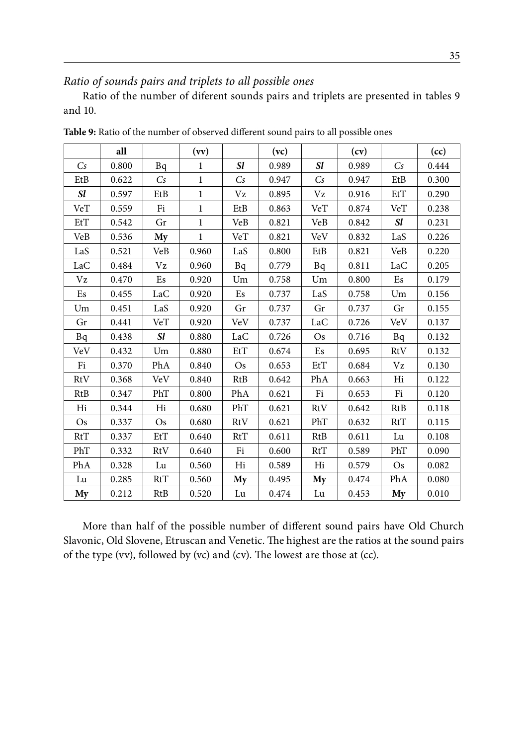### *Ratio of sounds pairs and triplets to all possible ones*

Ratio of the number of diferent sounds pairs and triplets are presented in tables 9 and 10.

|            | all   |            | (vv)         |            | (vc)  |            | (cv)  |            | (cc)  |
|------------|-------|------------|--------------|------------|-------|------------|-------|------------|-------|
| Cs         | 0.800 | Bq         | $\mathbf{1}$ | Sl         | 0.989 | <i>Sl</i>  | 0.989 | $C_s$      | 0.444 |
| EtB        | 0.622 | Cs         | $\mathbf{1}$ | Cs         | 0.947 | Cs         | 0.947 | EtB        | 0.300 |
| <b>Sl</b>  | 0.597 | EtB        | $\mathbf{1}$ | Vz         | 0.895 | Vz         | 0.916 | EtT        | 0.290 |
| VeT        | 0.559 | Fi         | $\mathbf{1}$ | EtB        | 0.863 | VeT        | 0.874 | VeT        | 0.238 |
| EtT        | 0.542 | Gr         | $\mathbf{1}$ | VeB        | 0.821 | VeB        | 0.842 | Sl         | 0.231 |
| VeB        | 0.536 | My         | $\mathbf{1}$ | VeT        | 0.821 | VeV        | 0.832 | LaS        | 0.226 |
| LaS        | 0.521 | VeB        | 0.960        | LaS        | 0.800 | EtB        | 0.821 | VeB        | 0.220 |
| LaC        | 0.484 | Vz         | 0.960        | Bq         | 0.779 | Bq         | 0.811 | LaC        | 0.205 |
| Vz         | 0.470 | Es         | 0.920        | Um         | 0.758 | Um         | 0.800 | Es         | 0.179 |
| Es         | 0.455 | LaC        | 0.920        | Es         | 0.737 | LaS        | 0.758 | Um         | 0.156 |
| Um         | 0.451 | LaS        | 0.920        | Gr         | 0.737 | Gr         | 0.737 | Gr         | 0.155 |
| Gr         | 0.441 | $\rm{V}eT$ | 0.920        | VeV        | 0.737 | LaC        | 0.726 | VeV        | 0.137 |
| Bq         | 0.438 | <i>Sl</i>  | 0.880        | LaC        | 0.726 | <b>Os</b>  | 0.716 | Bq         | 0.132 |
| VeV        | 0.432 | Um         | 0.880        | EtT        | 0.674 | Es         | 0.695 | RtV        | 0.132 |
| Fi         | 0.370 | PhA        | 0.840        | <b>Os</b>  | 0.653 | EtT        | 0.684 | Vz         | 0.130 |
| RtV        | 0.368 | VeV        | 0.840        | <b>RtB</b> | 0.642 | PhA        | 0.663 | Hi         | 0.122 |
| <b>RtB</b> | 0.347 | PhT        | 0.800        | PhA        | 0.621 | Fi         | 0.653 | Fi         | 0.120 |
| Hi         | 0.344 | Hi         | 0.680        | PhT        | 0.621 | RtV        | 0.642 | <b>RtB</b> | 0.118 |
| <b>Os</b>  | 0.337 | <b>Os</b>  | 0.680        | RtV        | 0.621 | PhT        | 0.632 | RtT        | 0.115 |
| RtT        | 0.337 | EtT        | 0.640        | RtT        | 0.611 | <b>RtB</b> | 0.611 | Lu         | 0.108 |
| PhT        | 0.332 | RtV        | 0.640        | Fi         | 0.600 | RtT        | 0.589 | PhT        | 0.090 |
| PhA        | 0.328 | Lu         | 0.560        | Hi         | 0.589 | Hi         | 0.579 | <b>Os</b>  | 0.082 |
| Lu         | 0.285 | RtT        | 0.560        | My         | 0.495 | My         | 0.474 | PhA        | 0.080 |
| My         | 0.212 | RtB        | 0.520        | Lu         | 0.474 | Lu         | 0.453 | My         | 0.010 |

**Table 9:** Ratio of the number of observed different sound pairs to all possible ones

More than half of the possible number of different sound pairs have Old Church Slavonic, Old Slovene, Etruscan and Venetic. The highest are the ratios at the sound pairs of the type (vv), followed by (vc) and (cv). The lowest are those at (cc).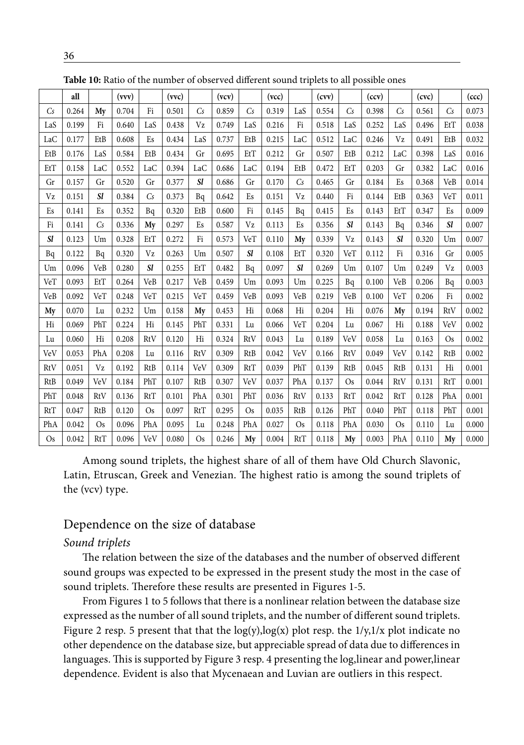|                 | all   |            | (vvv) |            | (vvc) |            | (vcv) |                | (vcc) |           | (cvv) |            | (ccv) |            | (cvc) |            | (ccc) |
|-----------------|-------|------------|-------|------------|-------|------------|-------|----------------|-------|-----------|-------|------------|-------|------------|-------|------------|-------|
| $\mathcal{C}$ s | 0.264 | My         | 0.704 | Fi         | 0.501 | Cs         | 0.859 | C <sub>S</sub> | 0.319 | LaS       | 0.554 | Cs         | 0.398 | Cs         | 0.561 | Cs         | 0.073 |
| LaS             | 0.199 | Fi         | 0.640 | LaS        | 0.438 | Vz         | 0.749 | LaS            | 0.216 | Fi        | 0.518 | LaS        | 0.252 | LaS        | 0.496 | EtT        | 0.038 |
| LaC             | 0.177 | EtB        | 0.608 | Es         | 0.434 | LaS        | 0.737 | EtB            | 0.215 | LaC       | 0.512 | LaC        | 0.246 | Vz         | 0.491 | EtB        | 0.032 |
| EtB             | 0.176 | LaS        | 0.584 | EtB        | 0.434 | Gr         | 0.695 | EtT            | 0.212 | Gr        | 0.507 | EtB        | 0.212 | LaC        | 0.398 | LaS        | 0.016 |
| EtT             | 0.158 | LaC        | 0.552 | LaC        | 0.394 | LaC        | 0.686 | LaC            | 0.194 | EtB       | 0.472 | EtT        | 0.203 | Gr         | 0.382 | LaC        | 0.016 |
| Gr              | 0.157 | Gr         | 0.520 | Gr         | 0.377 | Sl         | 0.686 | Gr             | 0.170 | Cs        | 0.465 | Gr         | 0.184 | Es         | 0.368 | VeB        | 0.014 |
| Vz              | 0.151 | <b>Sl</b>  | 0.384 | Cs         | 0.373 | Bq         | 0.642 | Es             | 0.151 | Vz        | 0.440 | Fi         | 0.144 | EtB        | 0.363 | VeT        | 0.011 |
| Es              | 0.141 | Es         | 0.352 | Bq         | 0.320 | EtB        | 0.600 | Fi             | 0.145 | Bq        | 0.415 | Es         | 0.143 | EtT        | 0.347 | Es         | 0.009 |
| Fi              | 0.141 | Cs         | 0.336 | My         | 0.297 | Es         | 0.587 | Vz             | 0.113 | Es        | 0.356 | <b>Sl</b>  | 0.143 | Bq         | 0.346 | <i>Sl</i>  | 0.007 |
| <i>Sl</i>       | 0.123 | Um         | 0.328 | EtT        | 0.272 | Fi         | 0.573 | VeT            | 0.110 | My        | 0.339 | Vz         | 0.143 | <b>Sl</b>  | 0.320 | Um         | 0.007 |
| Bq              | 0.122 | Bq         | 0.320 | Vz         | 0.263 | Um         | 0.507 | <b>Sl</b>      | 0.108 | EtT       | 0.320 | VeT        | 0.112 | Fi         | 0.316 | Gr         | 0.005 |
| Um              | 0.096 | VeB        | 0.280 | <i>Sl</i>  | 0.255 | EtT        | 0.482 | Bq             | 0.097 | <b>Sl</b> | 0.269 | Um         | 0.107 | Um         | 0.249 | Vz         | 0.003 |
| VeT             | 0.093 | EtT        | 0.264 | VeB        | 0.217 | VeB        | 0.459 | Um             | 0.093 | Um        | 0.225 | Bq         | 0.100 | VeB        | 0.206 | Bq         | 0.003 |
| VeB             | 0.092 | VeT        | 0.248 | VeT        | 0.215 | VeT        | 0.459 | VeB            | 0.093 | VeB       | 0.219 | VeB        | 0.100 | VeT        | 0.206 | Fi         | 0.002 |
| My              | 0.070 | Lu         | 0.232 | Um         | 0.158 | My         | 0.453 | Hi             | 0.068 | Hi        | 0.204 | Hi         | 0.076 | My         | 0.194 | RtV        | 0.002 |
| Hi              | 0.069 | PhT        | 0.224 | Hi         | 0.145 | PhT        | 0.331 | Lu             | 0.066 | VeT       | 0.204 | Lu         | 0.067 | Hi         | 0.188 | VeV        | 0.002 |
| Lu              | 0.060 | Hi         | 0.208 | RtV        | 0.120 | Hi         | 0.324 | RtV            | 0.043 | Lu        | 0.189 | VeV        | 0.058 | Lu         | 0.163 | <b>Os</b>  | 0.002 |
| VeV             | 0.053 | PhA        | 0.208 | Lu         | 0.116 | RtV        | 0.309 | RtB            | 0.042 | VeV       | 0.166 | RtV        | 0.049 | VeV        | 0.142 | <b>RtB</b> | 0.002 |
| RtV             | 0.051 | Vz         | 0.192 | <b>RtB</b> | 0.114 | VeV        | 0.309 | RtT            | 0.039 | PhT       | 0.139 | <b>RtB</b> | 0.045 | <b>RtB</b> | 0.131 | Hi         | 0.001 |
| RtB             | 0.049 | VeV        | 0.184 | PhT        | 0.107 | RtB        | 0.307 | VeV            | 0.037 | PhA       | 0.137 | <b>Os</b>  | 0.044 | RtV        | 0.131 | <b>RtT</b> | 0.001 |
| PhT             | 0.048 | RtV        | 0.136 | <b>RtT</b> | 0.101 | PhA        | 0.301 | PhT            | 0.036 | RtV       | 0.133 | RtT        | 0.042 | RtT        | 0.128 | PhA        | 0.001 |
| <b>RtT</b>      | 0.047 | <b>RtB</b> | 0.120 | <b>Os</b>  | 0.097 | <b>RtT</b> | 0.295 | Os             | 0.035 | RtB       | 0.126 | PhT        | 0.040 | PhT        | 0.118 | PhT        | 0.001 |
| PhA             | 0.042 | <b>Os</b>  | 0.096 | PhA        | 0.095 | Lu         | 0.248 | PhA            | 0.027 | <b>Os</b> | 0.118 | PhA        | 0.030 | <b>Os</b>  | 0.110 | Lu         | 0.000 |
| <b>Os</b>       | 0.042 | <b>RtT</b> | 0.096 | VeV        | 0.080 | <b>Os</b>  | 0.246 | My             | 0.004 | RtT       | 0.118 | My         | 0.003 | PhA        | 0.110 | My         | 0.000 |
|                 |       |            |       |            |       |            |       |                |       |           |       |            |       |            |       |            |       |

**Table 10:** Ratio of the number of observed different sound triplets to all possible ones

Among sound triplets, the highest share of all of them have Old Church Slavonic, Latin, Etruscan, Greek and Venezian. The highest ratio is among the sound triplets of the (vcv) type.

### Dependence on the size of database

#### *Sound triplets*

The relation between the size of the databases and the number of observed different sound groups was expected to be expressed in the present study the most in the case of sound triplets. Therefore these results are presented in Figures 1-5.

From Figures 1 to 5 follows that there is a nonlinear relation between the database size expressed as the number of all sound triplets, and the number of different sound triplets. Figure 2 resp. 5 present that that the  $log(y)$ ,  $log(x)$  plot resp. the  $1/y$ ,  $1/x$  plot indicate no other dependence on the database size, but appreciable spread of data due to differences in languages. This is supported by Figure 3 resp. 4 presenting the log,linear and power,linear dependence. Evident is also that Mycenaean and Luvian are outliers in this respect.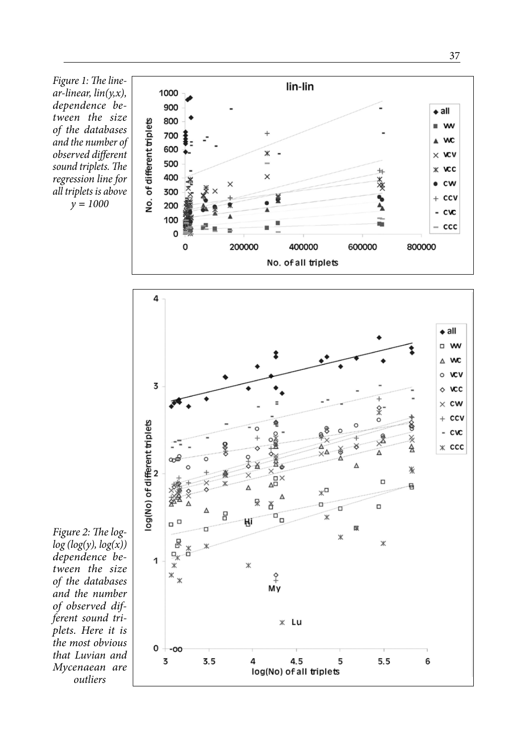*Figure 1: The line ar-linear, lin(y,x), dependence be tween the size of the databases and the number of observed different sound triplets. The regression line for all triplets is above y<sup>=</sup><sup>1000</sup>*



*Figure 2: The loglog (log(y), log(x)) dependence be tween the size of the databases and the number of observed different sound triplets. Here it is the most obvious that Luvian and Mycenaean are outliers*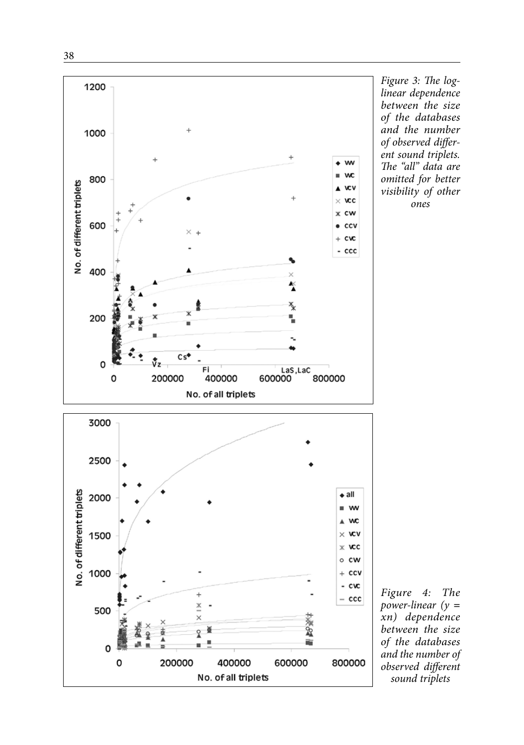



*Figure 3: The loglinear dependence between the size of the databases and the number of observed differ ent sound triplets. The "all" data are omitted for better visibility of other ones*

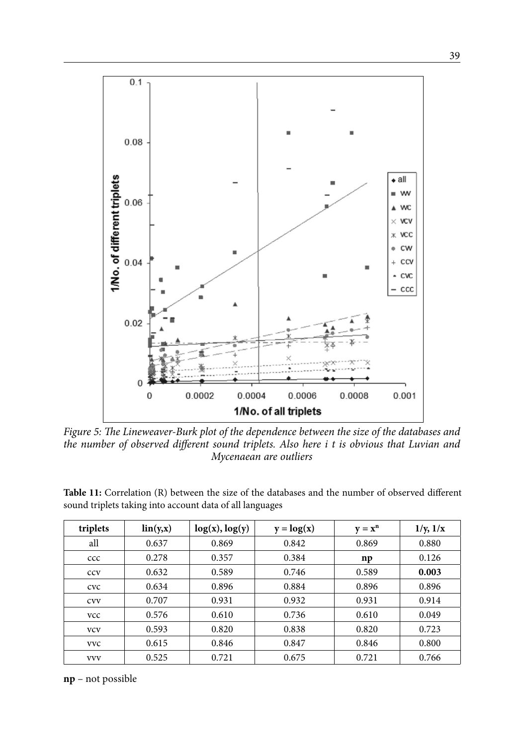

*Figure 5: The Lineweaver-Burk plot of the dependence between the size of the databases and the number of observed different sound triplets. Also here i t is obvious that Luvian and Mycenaean are outliers*

| triplets   | $\ln(y, x)$ | log(x), log(y) | $y = log(x)$ | $y = x^n$ | 1/y, 1/x |
|------------|-------------|----------------|--------------|-----------|----------|
| all        | 0.637       | 0.869          | 0.842        | 0.869     | 0.880    |
| ccc        | 0.278       | 0.357          | 0.384        | np        | 0.126    |
| <b>CCV</b> | 0.632       | 0.589          | 0.746        | 0.589     | 0.003    |
| <b>CVC</b> | 0.634       | 0.896          | 0.884        | 0.896     | 0.896    |
| <b>CVV</b> | 0.707       | 0.931          | 0.932        | 0.931     | 0.914    |
| <b>VCC</b> | 0.576       | 0.610          | 0.736        | 0.610     | 0.049    |
| <b>VCV</b> | 0.593       | 0.820          | 0.838        | 0.820     | 0.723    |
| <b>VVC</b> | 0.615       | 0.846          | 0.847        | 0.846     | 0.800    |
| <b>VVV</b> | 0.525       | 0.721          | 0.675        | 0.721     | 0.766    |

**Table 11:** Correlation (R) between the size of the databases and the number of observed different sound triplets taking into account data of all languages

#### **np** – not possible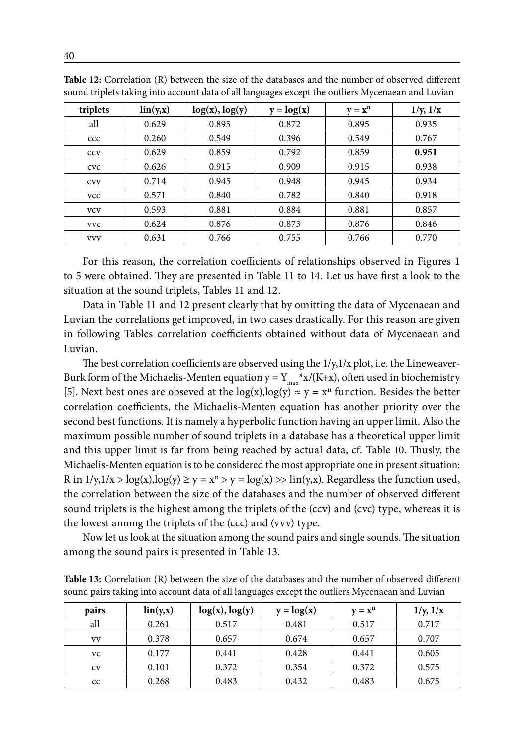| triplets   | $\ln(y, x)$ | log(x), log(y) | $y = log(x)$ | $y = x^n$ | 1/y, 1/x |
|------------|-------------|----------------|--------------|-----------|----------|
| all        | 0.629       | 0.895          | 0.872        | 0.895     | 0.935    |
| ccc        | 0.260       | 0.549          | 0.396        | 0.549     | 0.767    |
| <b>CCV</b> | 0.629       | 0.859          | 0.792        | 0.859     | 0.951    |
| <b>CVC</b> | 0.626       | 0.915          | 0.909        | 0.915     | 0.938    |
| <b>CVV</b> | 0.714       | 0.945          | 0.948        | 0.945     | 0.934    |
| <b>VCC</b> | 0.571       | 0.840          | 0.782        | 0.840     | 0.918    |
| <b>VCV</b> | 0.593       | 0.881          | 0.884        | 0.881     | 0.857    |
| <b>VVC</b> | 0.624       | 0.876          | 0.873        | 0.876     | 0.846    |
| <b>VVV</b> | 0.631       | 0.766          | 0.755        | 0.766     | 0.770    |

**Table 12:** Correlation (R) between the size of the databases and the number of observed different sound triplets taking into account data of all languages except the outliers Mycenaean and Luvian

For this reason, the correlation coefficients of relationships observed in Figures 1 to 5 were obtained. They are presented in Table 11 to 14. Let us have first a look to the situation at the sound triplets, Tables 11 and 12.

Data in Table 11 and 12 present clearly that by omitting the data of Mycenaean and Luvian the correlations get improved, in two cases drastically. For this reason are given in following Tables correlation coefficients obtained without data of Mycenaean and Luvian.

The best correlation coefficients are observed using the 1/y,1/x plot, i.e. the Lineweaver-Burk form of the Michaelis-Menten equation  $y = Y_{\text{max}} * x/(K+x)$ , often used in biochemistry [5]. Next best ones are obseved at the  $log(x)$ ,  $log(y) \approx y = x^n$  function. Besides the better correlation coefficients, the Michaelis-Menten equation has another priority over the second best functions. It is namely a hyperbolic function having an upper limit. Also the maximum possible number of sound triplets in a database has a theoretical upper limit and this upper limit is far from being reached by actual data, cf. Table 10. Thusly, the Michaelis-Menten equation is to be considered the most appropriate one in present situation: R in  $1/y, 1/x > log(x), log(y) \ge y = x^n > y = log(x) >> ln(y,x)$ . Regardless the function used, the correlation between the size of the databases and the number of observed different sound triplets is the highest among the triplets of the (ccv) and (cvc) type, whereas it is the lowest among the triplets of the (ccc) and (vvv) type.

Now let us look at the situation among the sound pairs and single sounds. The situation among the sound pairs is presented in Table 13.

**Table 13:** Correlation (R) between the size of the databases and the number of observed different sound pairs taking into account data of all languages except the outliers Mycenaean and Luvian

| pairs | $\ln(y, x)$ | $log(x)$ , $log(y)$ | $y = log(x)$ | $\mathbf{v} = \mathbf{x}^n$ | 1/y, 1/x |
|-------|-------------|---------------------|--------------|-----------------------------|----------|
| all   | 0.261       | 0.517               | 0.481        | 0.517                       | 0.717    |
| VV    | 0.378       | 0.657               | 0.674        | 0.657                       | 0.707    |
| VC    | 0.177       | 0.441               | 0.428        | 0.441                       | 0.605    |
| CV    | 0.101       | 0.372               | 0.354        | 0.372                       | 0.575    |
| cc    | 0.268       | 0.483               | 0.432        | 0.483                       | 0.675    |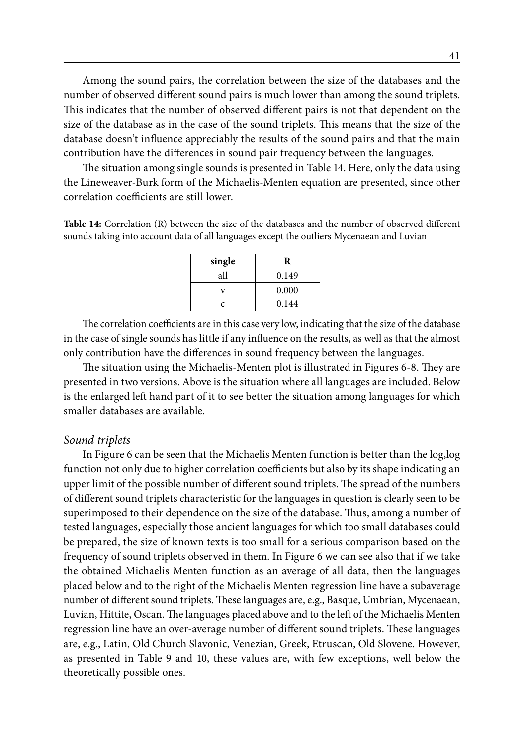Among the sound pairs, the correlation between the size of the databases and the number of observed different sound pairs is much lower than among the sound triplets. This indicates that the number of observed different pairs is not that dependent on the size of the database as in the case of the sound triplets. This means that the size of the database doesn't influence appreciably the results of the sound pairs and that the main contribution have the differences in sound pair frequency between the languages.

The situation among single sounds is presented in Table 14. Here, only the data using the Lineweaver-Burk form of the Michaelis-Menten equation are presented, since other correlation coefficients are still lower.

**Table 14:** Correlation (R) between the size of the databases and the number of observed different sounds taking into account data of all languages except the outliers Mycenaean and Luvian

| single | R     |
|--------|-------|
| all    | 0.149 |
|        | 0.000 |
| c      | 0.144 |

The correlation coefficients are in this case very low, indicating that the size of the database in the case of single sounds has little if any influence on the results, as well as that the almost only contribution have the differences in sound frequency between the languages.

The situation using the Michaelis-Menten plot is illustrated in Figures 6-8. They are presented in two versions. Above is the situation where all languages are included. Below is the enlarged left hand part of it to see better the situation among languages for which smaller databases are available.

#### *Sound triplets*

In Figure 6 can be seen that the Michaelis Menten function is better than the log,log function not only due to higher correlation coefficients but also by its shape indicating an upper limit of the possible number of different sound triplets. The spread of the numbers of different sound triplets characteristic for the languages in question is clearly seen to be superimposed to their dependence on the size of the database. Thus, among a number of tested languages, especially those ancient languages for which too small databases could be prepared, the size of known texts is too small for a serious comparison based on the frequency of sound triplets observed in them. In Figure 6 we can see also that if we take the obtained Michaelis Menten function as an average of all data, then the languages placed below and to the right of the Michaelis Menten regression line have a subaverage number of different sound triplets. These languages are, e.g., Basque, Umbrian, Mycenaean, Luvian, Hittite, Oscan. The languages placed above and to the left of the Michaelis Menten regression line have an over-average number of different sound triplets. These languages are, e.g., Latin, Old Church Slavonic, Venezian, Greek, Etruscan, Old Slovene. However, as presented in Table 9 and 10, these values are, with few exceptions, well below the theoretically possible ones.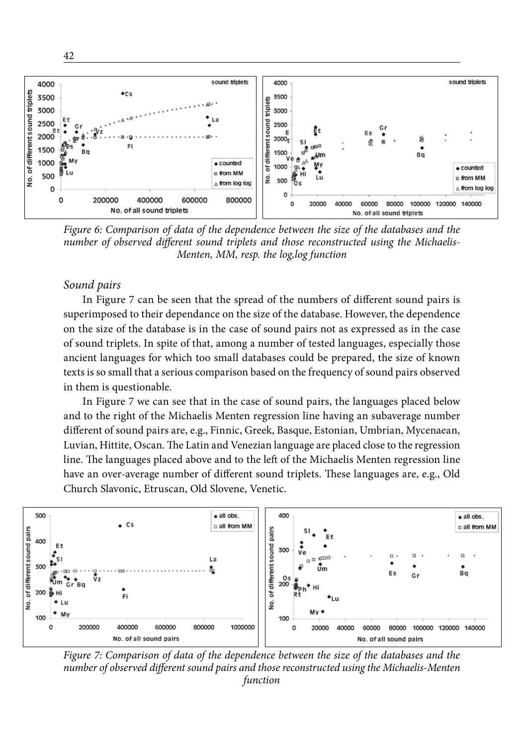

*Figure 6: Comparison of data of the dependence between the size of the databases and the number of observed different sound triplets and those reconstructed using the Michaelis-Menten, MM, resp. the log,log function*

#### *Sound pairs*

42

In Figure 7 can be seen that the spread of the numbers of different sound pairs is superimposed to their dependance on the size of the database. However, the dependence on the size of the database is in the case of sound pairs not as expressed as in the case of sound triplets. In spite of that, among a number of tested languages, especially those ancient languages for which too small databases could be prepared, the size of known texts is so small that a serious comparison based on the frequency of sound pairs observed in them is questionable.

In Figure 7 we can see that in the case of sound pairs, the languages placed below and to the right of the Michaelis Menten regression line having an subaverage number different of sound pairs are, e.g., Finnic, Greek, Basque, Estonian, Umbrian, Mycenaean, Luvian, Hittite, Oscan. The Latin and Venezian language are placed close to the regression line. The languages placed above and to the left of the Michaelis Menten regression line have an over-average number of different sound triplets. These languages are, e.g., Old Church Slavonic, Etruscan, Old Slovene, Venetic.



*Figure 7: Comparison of data of the dependence between the size of the databases and the number of observed different sound pairs and those reconstructed using the Michaelis-Menten function*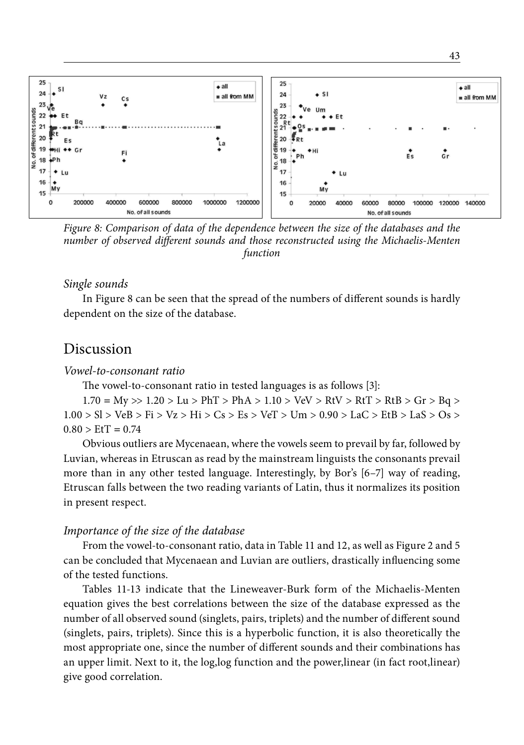

*Figure 8: Comparison of data of the dependence between the size of the databases and the number of observed different sounds and those reconstructed using the Michaelis-Menten function*

#### *Single sounds*

In Figure 8 can be seen that the spread of the numbers of different sounds is hardly dependent on the size of the database.

### Discussion

#### *Vowel-to-consonant ratio*

The vowel-to-consonant ratio in tested languages is as follows [3]:

1.70 *=* My >> 1.20 > Lu > PhT > PhA > 1.10 > VeV > RtV > RtT > RtB > Gr > Bq >  $1.00 > S$ l > VeB > Fi > Vz > Hi > Cs > Es > VeT > Um > 0.90 > LaC > EtB > LaS > Os >  $0.80 > E tT = 0.74$ 

Obvious outliers are Mycenaean, where the vowels seem to prevail by far, followed by Luvian, whereas in Etruscan as read by the mainstream linguists the consonants prevail more than in any other tested language. Interestingly, by Bor's [6–7] way of reading, Etruscan falls between the two reading variants of Latin, thus it normalizes its position in present respect.

#### *Importance of the size of the database*

From the vowel-to-consonant ratio, data in Table 11 and 12, as well as Figure 2 and 5 can be concluded that Mycenaean and Luvian are outliers, drastically influencing some of the tested functions.

Tables 11-13 indicate that the Lineweaver-Burk form of the Michaelis-Menten equation gives the best correlations between the size of the database expressed as the number of all observed sound (singlets, pairs, triplets) and the number of different sound (singlets, pairs, triplets). Since this is a hyperbolic function, it is also theoretically the most appropriate one, since the number of different sounds and their combinations has an upper limit. Next to it, the log,log function and the power,linear (in fact root,linear) give good correlation.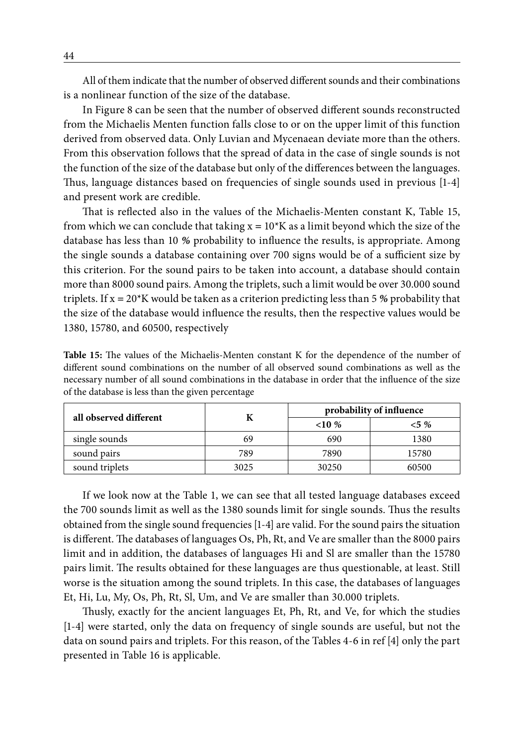All of them indicate that the number of observed different sounds and their combinations is a nonlinear function of the size of the database.

In Figure 8 can be seen that the number of observed different sounds reconstructed from the Michaelis Menten function falls close to or on the upper limit of this function derived from observed data. Only Luvian and Mycenaean deviate more than the others. From this observation follows that the spread of data in the case of single sounds is not the function of the size of the database but only of the differences between the languages. Thus, language distances based on frequencies of single sounds used in previous [1-4] and present work are credible.

That is reflected also in the values of the Michaelis-Menten constant K, Table 15, from which we can conclude that taking  $x = 10<sup>*</sup>K$  as a limit beyond which the size of the database has less than 10 *%* probability to influence the results, is appropriate. Among the single sounds a database containing over 700 signs would be of a sufficient size by this criterion. For the sound pairs to be taken into account, a database should contain more than 8000 sound pairs. Among the triplets, such a limit would be over 30.000 sound triplets. If x *=* 20\*K would be taken as a criterion predicting less than 5 *%* probability that the size of the database would influence the results, then the respective values would be 1380, 15780, and 60500, respectively

**Table 15:** The values of the Michaelis-Menten constant K for the dependence of the number of different sound combinations on the number of all observed sound combinations as well as the necessary number of all sound combinations in the database in order that the influence of the size of the database is less than the given percentage

| all observed different |      |        | probability of influence |  |  |
|------------------------|------|--------|--------------------------|--|--|
|                        |      | $10\%$ | $< 5\%$                  |  |  |
| single sounds          | 69   | 690    | 1380                     |  |  |
| sound pairs            | 789  | 7890   | 15780                    |  |  |
| sound triplets         | 3025 | 30250  | 60500                    |  |  |

If we look now at the Table 1, we can see that all tested language databases exceed the 700 sounds limit as well as the 1380 sounds limit for single sounds. Thus the results obtained from the single sound frequencies [1-4] are valid. For the sound pairs the situation is different. The databases of languages Os, Ph, Rt, and Ve are smaller than the 8000 pairs limit and in addition, the databases of languages Hi and Sl are smaller than the 15780 pairs limit. The results obtained for these languages are thus questionable, at least. Still worse is the situation among the sound triplets. In this case, the databases of languages Et, Hi, Lu, My, Os, Ph, Rt, Sl, Um, and Ve are smaller than 30.000 triplets.

Thusly, exactly for the ancient languages Et, Ph, Rt, and Ve, for which the studies [1-4] were started, only the data on frequency of single sounds are useful, but not the data on sound pairs and triplets. For this reason, of the Tables 4-6 in ref [4] only the part presented in Table 16 is applicable.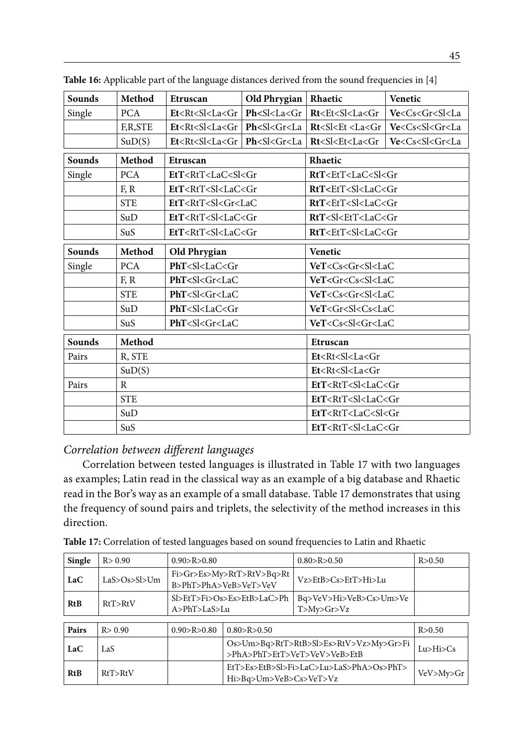| <b>Sounds</b> | Method      | Etruscan                                                                                                                                                            | Old Phrygian                         | Rhaetic                                                                              | Venetic                                |  |
|---------------|-------------|---------------------------------------------------------------------------------------------------------------------------------------------------------------------|--------------------------------------|--------------------------------------------------------------------------------------|----------------------------------------|--|
| Single        | <b>PCA</b>  | Et < Rt < Sl < La < Gr                                                                                                                                              | $Ph < S$ l <la<math>&lt;Gr</la<math> | Rt <et<sl<la<gr< td=""><td>Ve<cs<gr<sl<la< td=""></cs<gr<sl<la<></td></et<sl<la<gr<> | Ve <cs<gr<sl<la< td=""></cs<gr<sl<la<> |  |
|               | F,R,STE     | Et <rt<sl<la<gr td=""  <=""><td>Ph &lt; S l &lt; Gr &lt; La</td><td>Rt &lt; Sl &lt; Et &lt; La &lt; Gr</td><td>Ve &lt; Cs &lt; S &lt; Gr &lt; La</td></rt<sl<la<gr> | Ph < S l < Gr < La                   | Rt < Sl < Et < La < Gr                                                               | Ve < Cs < S < Gr < La                  |  |
|               | SuD(S)      | $Et < Rt < S$ l< $La < Gr$                                                                                                                                          | Ph < S l < Gr < La                   | Rt < Sl < Et < La < Gr                                                               | Ve < Cs < S < Gr < La                  |  |
| <b>Sounds</b> | Method      | Etruscan                                                                                                                                                            |                                      | Rhaetic                                                                              |                                        |  |
| Single        | <b>PCA</b>  | EtT <rtt<lac<sl<gr< td=""><td></td><td>RtT<ett<lac<sl<gr< td=""><td></td></ett<lac<sl<gr<></td></rtt<lac<sl<gr<>                                                    |                                      | RtT <ett<lac<sl<gr< td=""><td></td></ett<lac<sl<gr<>                                 |                                        |  |
|               | F, R        | EtT <rtt<sl<lac<gr< td=""><td></td><td>RtT<ett<sl<lac<gr< td=""><td></td></ett<sl<lac<gr<></td></rtt<sl<lac<gr<>                                                    |                                      | RtT <ett<sl<lac<gr< td=""><td></td></ett<sl<lac<gr<>                                 |                                        |  |
|               | <b>STE</b>  | EtT <rtt<sl<gr<lac< td=""><td></td><td>RtT<ett<sl<lac<gr< td=""><td></td></ett<sl<lac<gr<></td></rtt<sl<gr<lac<>                                                    |                                      | RtT <ett<sl<lac<gr< td=""><td></td></ett<sl<lac<gr<>                                 |                                        |  |
|               | SuD         | EtT <rtt<sl<lac<gr< td=""><td></td><td>RtT<sl<ett<lac<gr< td=""><td></td></sl<ett<lac<gr<></td></rtt<sl<lac<gr<>                                                    |                                      | RtT <sl<ett<lac<gr< td=""><td></td></sl<ett<lac<gr<>                                 |                                        |  |
|               | SuS         | EtT <rtt<sl<lac<gr< td=""><td></td><td colspan="3">RtT<ett<sl<lac<gr< td=""></ett<sl<lac<gr<></td></rtt<sl<lac<gr<>                                                 |                                      | RtT <ett<sl<lac<gr< td=""></ett<sl<lac<gr<>                                          |                                        |  |
| Sounds        | Method      | Old Phrygian                                                                                                                                                        |                                      | Venetic                                                                              |                                        |  |
| Single        | <b>PCA</b>  | PhT <sl<lac<gr< td=""><td></td><td colspan="3">VeT<cs<gr<sl<lac< td=""></cs<gr<sl<lac<></td></sl<lac<gr<>                                                           |                                      | VeT <cs<gr<sl<lac< td=""></cs<gr<sl<lac<>                                            |                                        |  |
|               | F, R        | PhT <sl<gr<lac< td=""><td></td><td colspan="3">VeT<gr<cs<sl<lac< td=""></gr<cs<sl<lac<></td></sl<gr<lac<>                                                           |                                      | VeT <gr<cs<sl<lac< td=""></gr<cs<sl<lac<>                                            |                                        |  |
|               | <b>STE</b>  | PhT <sl<gr<lac< td=""><td></td><td colspan="3">VeT<cs<gr<sl<lac< td=""></cs<gr<sl<lac<></td></sl<gr<lac<>                                                           |                                      | VeT <cs<gr<sl<lac< td=""></cs<gr<sl<lac<>                                            |                                        |  |
|               | SuD         | PhT < S l < LaC < Gr                                                                                                                                                |                                      | VeT < Gr < S < Cs < LaC                                                              |                                        |  |
|               | SuS         | PhT <sl<gr<lac< td=""><td></td><td colspan="3">VeT<cs<sl<gr<lac< td=""></cs<sl<gr<lac<></td></sl<gr<lac<>                                                           |                                      | VeT <cs<sl<gr<lac< td=""></cs<sl<gr<lac<>                                            |                                        |  |
| Sounds        | Method      |                                                                                                                                                                     |                                      | Etruscan                                                                             |                                        |  |
| Pairs         | R, STE      |                                                                                                                                                                     |                                      | Et <rt<sl<la<gr< td=""><td></td></rt<sl<la<gr<>                                      |                                        |  |
|               | SuD(S)      |                                                                                                                                                                     |                                      | Et <rt<sl<la<gr< td=""><td></td></rt<sl<la<gr<>                                      |                                        |  |
| Pairs         | $\mathbf R$ |                                                                                                                                                                     |                                      | EtT <rtt<sl<lac<gr< td=""></rtt<sl<lac<gr<>                                          |                                        |  |
|               | <b>STE</b>  |                                                                                                                                                                     |                                      | EtT <rtt<sl<lac<gr< td=""></rtt<sl<lac<gr<>                                          |                                        |  |
|               | SuD         |                                                                                                                                                                     |                                      | EtT <rtt<lac<sl<gr< td=""></rtt<lac<sl<gr<>                                          |                                        |  |
|               | SuS         |                                                                                                                                                                     |                                      | EtT <rtt<sl<lac<gr< td=""></rtt<sl<lac<gr<>                                          |                                        |  |

Table 16: Applicable part of the language distances derived from the sound frequencies in [4]

### *Correlation between different languages*

Correlation between tested languages is illustrated in Table 17 with two languages as examples; Latin read in the classical way as an example of a big database and Rhaetic read in the Bor's way as an example of a small database. Table 17 demonstrates that using the frequency of sound pairs and triplets, the selectivity of the method increases in this direction.

| Single | R > 0.90     | 0.90 > R > 0.80       |                                                                        | 0.80 > R > 0.50                         | R > 0.50      |
|--------|--------------|-----------------------|------------------------------------------------------------------------|-----------------------------------------|---------------|
| LaC    | LaS>Os>Sl>Um |                       | Fi>Gr>Es>My>RtT>RtV>Bq>Rt<br>B>PhT>PhA>VeB>VeT>VeV                     | Vz>EtB>Cs>EtT>Hi>Lu                     |               |
| RtB    | RtT > RtV    | $A > PhT > La S > Lu$ | Sl>EtT>Fi>Os>Es>EtB>LaC>Ph                                             | Bq>VeV>Hi>VeB>Cs>Um>Ve<br>T>My>Gr>Vz    |               |
|        |              |                       |                                                                        |                                         |               |
| Pairs  | R > 0.90     | 0.90 > R > 0.80       | 0.80 > R > 0.50                                                        |                                         | R > 0.50      |
| LaC    | LaS          |                       | Os>Um>Bq>RtT>RtB>Sl>Es>RtV>Vz>My>Gr>Fi<br>>PhA>PhT>EtT>VeT>VeV>VeB>EtB |                                         | Lu > Hi > Cs  |
| RtB    | RtT > RtV    |                       | Hi>Bq>Um>VeB>Cs>VeT>Vz                                                 | EtT>Es>EtB>Sl>Fi>LaC>Lu>LaS>PhA>Os>PhT> | VeV > My > Gr |

**Table 17:** Correlation of tested languages based on sound frequencies to Latin and Rhaetic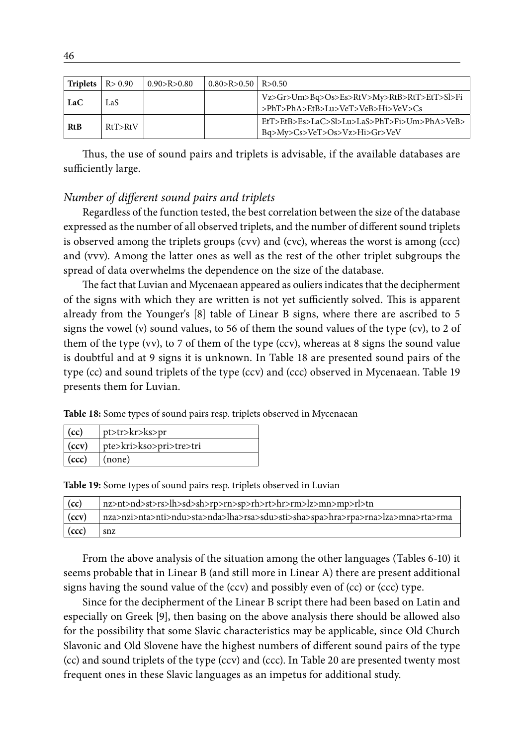| Triplets   | R > 0.90  | 0.90 > R > 0.80 | $0.80 > R > 0.50$ R $> 0.50$ |                                                                                 |
|------------|-----------|-----------------|------------------------------|---------------------------------------------------------------------------------|
| LaC        | LaS       |                 |                              | Vz>Gr>Um>Bq>Os>Es>RtV>My>RtB>RtT>EtT>Sl>Fi<br>>PhT>PhA>EtB>Lu>VeT>VeB>Hi>VeV>Cs |
| <b>RtB</b> | RtT > RtV |                 |                              | EtT>EtB>Es>LaC>Sl>Lu>LaS>PhT>Fi>Um>PhA>VeB><br>Bq>My>Cs>VeT>Os>Vz>Hi>Gr>VeV     |

Thus, the use of sound pairs and triplets is advisable, if the available databases are sufficiently large.

#### *Number of different sound pairs and triplets*

Regardless of the function tested, the best correlation between the size of the database expressed as the number of all observed triplets, and the number of different sound triplets is observed among the triplets groups (cvv) and (cvc), whereas the worst is among (ccc) and (vvv). Among the latter ones as well as the rest of the other triplet subgroups the spread of data overwhelms the dependence on the size of the database.

The fact that Luvian and Mycenaean appeared as ouliers indicates that the decipherment of the signs with which they are written is not yet sufficiently solved. This is apparent already from the Younger's [8] table of Linear B signs, where there are ascribed to 5 signs the vowel (v) sound values, to 56 of them the sound values of the type (cv), to 2 of them of the type (vv), to 7 of them of the type (ccv), whereas at 8 signs the sound value is doubtful and at 9 signs it is unknown. In Table 18 are presented sound pairs of the type (cc) and sound triplets of the type (ccv) and (ccc) observed in Mycenaean. Table 19 presents them for Luvian.

**Table 18:** Some types of sound pairs resp. triplets observed in Mycenaean

| (cc)          | pt>tr>kr>ks>pr          |
|---------------|-------------------------|
| $\vert$ (ccv) | pte>kri>kso>pri>tre>tri |
| $\vert$ (ccc) | $\vert$ (none)          |

**Table 19:** Some types of sound pairs resp. triplets observed in Luvian

| (cc)  | nz>nt>nd>st>rs>lh>sd>sh>rp>rn>sp>rh>rt>hr>rm>lz>mn>mp>rl>tn                     |
|-------|---------------------------------------------------------------------------------|
| (ccv) | nza>nzi>nta>nti>ndu>sta>nda>lha>rsa>sdu>sti>sha>spa>hra>rpa>rna>lza>mna>rta>rma |
| (ccc) | snz                                                                             |

From the above analysis of the situation among the other languages (Tables 6-10) it seems probable that in Linear B (and still more in Linear A) there are present additional signs having the sound value of the (ccv) and possibly even of (cc) or (ccc) type.

Since for the decipherment of the Linear B script there had been based on Latin and especially on Greek [9], then basing on the above analysis there should be allowed also for the possibility that some Slavic characteristics may be applicable, since Old Church Slavonic and Old Slovene have the highest numbers of different sound pairs of the type (cc) and sound triplets of the type (ccv) and (ccc). In Table 20 are presented twenty most frequent ones in these Slavic languages as an impetus for additional study.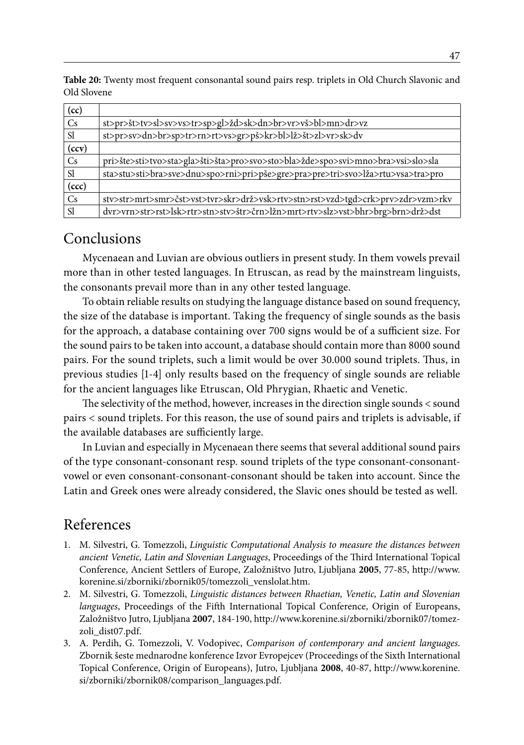**Table 20:** Twenty most frequent consonantal sound pairs resp. triplets in Old Church Slavonic and Old Slovene

| (cc)          |                                                                                 |
|---------------|---------------------------------------------------------------------------------|
| Cs            | st>pr>št>tv>sl>sv>vs>tr>sp>gl>žd>sk>dn>br>vr>vš>bl>mn>dr>vz                     |
| <sub>S1</sub> | st>pr>sv>dn>br>sp>tr>rn>rt>vs>gr>pš>kr>bl>lž>št>zl>vr>sk>dv                     |
| (ccv)         |                                                                                 |
| Cs            | pri>šte>sti>tvo>sta>gla>šti>šta>pro>svo>sto>bla>žde>spo>svi>mno>bra>vsi>slo>sla |
| <sub>S1</sub> | sta>stu>sti>bra>sve>dnu>spo>rni>pri>pše>gre>pra>pre>tri>svo>lža>rtu>vsa>tra>pro |
| (ccc)         |                                                                                 |
| Cs            | stv>str>mrt>smr>čst>vst>tvr>skr>drž>vsk>rtv>stn>rst>vzd>tgd>crk>prv>zdr>vzm>rkv |
| <sub>S1</sub> | dvr>vrn>str>rst>lsk>rtr>stn>stv>štr>črn>lžn>mrt>rtv>slz>vst>bhr>brg>brn>drž>dst |

# Conclusions

Mycenaean and Luvian are obvious outliers in present study. In them vowels prevail more than in other tested languages. In Etruscan, as read by the mainstream linguists, the consonants prevail more than in any other tested language.

To obtain reliable results on studying the language distance based on sound frequency, the size of the database is important. Taking the frequency of single sounds as the basis for the approach, a database containing over 700 signs would be of a sufficient size. For the sound pairs to be taken into account, a database should contain more than 8000 sound pairs. For the sound triplets, such a limit would be over 30.000 sound triplets. Thus, in previous studies [1-4] only results based on the frequency of single sounds are reliable for the ancient languages like Etruscan, Old Phrygian, Rhaetic and Venetic.

The selectivity of the method, however, increases in the direction single sounds < sound pairs < sound triplets. For this reason, the use of sound pairs and triplets is advisable, if the available databases are sufficiently large.

In Luvian and especially in Mycenaean there seems that several additional sound pairs of the type consonant-consonant resp. sound triplets of the type consonant-consonantvowel or even consonant-consonant-consonant should be taken into account. Since the Latin and Greek ones were already considered, the Slavic ones should be tested as well.

# References

- 1. M. Silvestri, G. Tomezzoli, *Linguistic Computational Analysis to measure the distances between ancient Venetic, Latin and Slovenian Languages*, Proceedings of the Third International Topical Conference, Ancient Settlers of Europe, Založništvo Jutro, Ljubljana **2005**, 77-85, http://www. korenine.si/zborniki/zbornik05/tomezzoli\_venslolat.htm.
- 2. M. Silvestri, G. Tomezzoli, *Linguistic distances between Rhaetian, Venetic, Latin and Slovenian languages*, Proceedings of the Fifth International Topical Conference, Origin of Europeans, Založništvo Jutro, Ljubljana **2007**, 184-190, http://www.korenine.si/zborniki/zbornik07/tomezzoli\_dist07.pdf.
- 3. A. Perdih, G. Tomezzoli, V. Vodopivec, *Comparison of contemporary and ancient languages*. Zbornik šeste mednarodne konference Izvor Evropejcev (Proceedings of the Sixth International Topical Conference, Origin of Europeans), Jutro, Ljubljana **2008**, 40-87, http://www.korenine. si/zborniki/zbornik08/comparison\_languages.pdf.